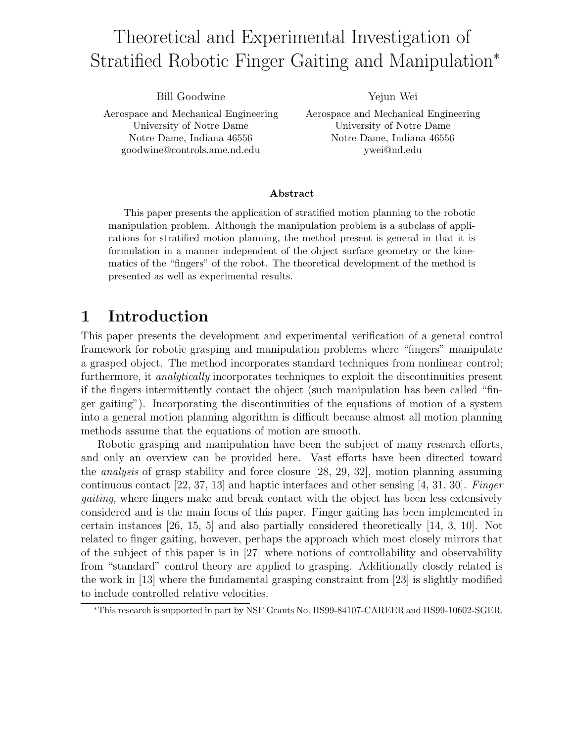# Theoretical and Experimental Investigation of Stratified Robotic Finger Gaiting and Manipulation<sup>∗</sup>

Bill Goodwine Aerospace and Mechanical Engineering University of Notre Dame Notre Dame, Indiana 46556 goodwine@controls.ame.nd.edu

Yejun Wei

Aerospace and Mechanical Engineering University of Notre Dame Notre Dame, Indiana 46556 ywei@nd.edu

#### Abstract

This paper presents the application of stratified motion planning to the robotic manipulation problem. Although the manipulation problem is a subclass of applications for stratified motion planning, the method present is general in that it is formulation in a manner independent of the object surface geometry or the kinematics of the "fingers" of the robot. The theoretical development of the method is presented as well as experimental results.

### 1 Introduction

This paper presents the development and experimental verification of a general control framework for robotic grasping and manipulation problems where "fingers" manipulate a grasped object. The method incorporates standard techniques from nonlinear control; furthermore, it analytically incorporates techniques to exploit the discontinuities present if the fingers intermittently contact the object (such manipulation has been called "finger gaiting"). Incorporating the discontinuities of the equations of motion of a system into a general motion planning algorithm is difficult because almost all motion planning methods assume that the equations of motion are smooth.

Robotic grasping and manipulation have been the subject of many research efforts, and only an overview can be provided here. Vast efforts have been directed toward the analysis of grasp stability and force closure [28, 29, 32], motion planning assuming continuous contact [22, 37, 13] and haptic interfaces and other sensing [4, 31, 30]. Finger gaiting, where fingers make and break contact with the object has been less extensively considered and is the main focus of this paper. Finger gaiting has been implemented in certain instances [26, 15, 5] and also partially considered theoretically [14, 3, 10]. Not related to finger gaiting, however, perhaps the approach which most closely mirrors that of the subject of this paper is in [27] where notions of controllability and observability from "standard" control theory are applied to grasping. Additionally closely related is the work in [13] where the fundamental grasping constraint from [23] is slightly modified to include controlled relative velocities.

<sup>∗</sup>This research is supported in part by NSF Grants No. IIS99-84107-CAREER and IIS99-10602-SGER.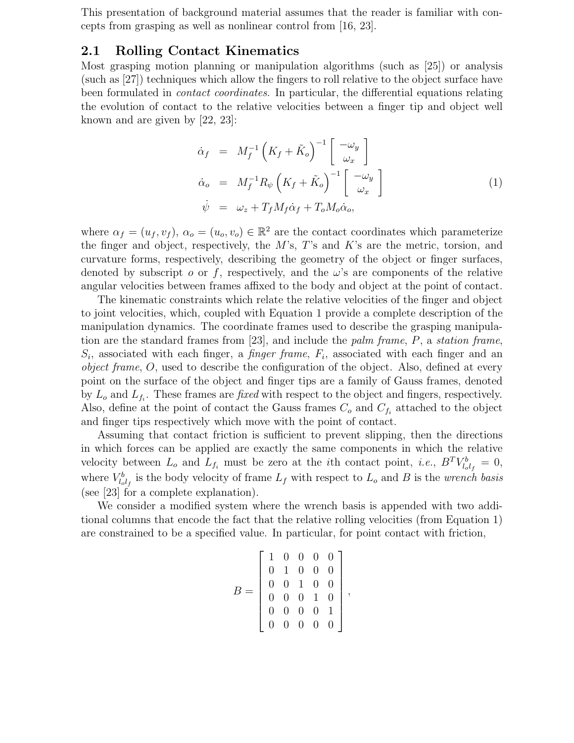This presentation of background material assumes that the reader is familiar with concepts from grasping as well as nonlinear control from [16, 23].

### 2.1 Rolling Contact Kinematics

Most grasping motion planning or manipulation algorithms (such as [25]) or analysis (such as [27]) techniques which allow the fingers to roll relative to the object surface have been formulated in contact coordinates. In particular, the differential equations relating the evolution of contact to the relative velocities between a finger tip and object well known and are given by [22, 23]:

$$
\dot{\alpha}_f = M_f^{-1} \left( K_f + \tilde{K}_o \right)^{-1} \begin{bmatrix} -\omega_y \\ \omega_x \end{bmatrix}
$$
\n
$$
\dot{\alpha}_o = M_f^{-1} R_{\psi} \left( K_f + \tilde{K}_o \right)^{-1} \begin{bmatrix} -\omega_y \\ \omega_x \end{bmatrix}
$$
\n
$$
\dot{\psi} = \omega_z + T_f M_f \dot{\alpha}_f + T_o M_o \dot{\alpha}_o,
$$
\n(1)

where  $\alpha_f = (u_f, v_f), \alpha_o = (u_o, v_o) \in \mathbb{R}^2$  are the contact coordinates which parameterize the finger and object, respectively, the  $M$ 's,  $T$ 's and  $K$ 's are the metric, torsion, and curvature forms, respectively, describing the geometry of the object or finger surfaces, denoted by subscript o or f, respectively, and the  $\omega$ 's are components of the relative angular velocities between frames affixed to the body and object at the point of contact.

The kinematic constraints which relate the relative velocities of the finger and object to joint velocities, which, coupled with Equation 1 provide a complete description of the manipulation dynamics. The coordinate frames used to describe the grasping manipulation are the standard frames from [23], and include the palm frame, P, a station frame,  $S_i$ , associated with each finger, a *finger frame*,  $F_i$ , associated with each finger and an object frame, O, used to describe the configuration of the object. Also, defined at every point on the surface of the object and finger tips are a family of Gauss frames, denoted by  $L_o$  and  $L_{f_i}$ . These frames are *fixed* with respect to the object and fingers, respectively. Also, define at the point of contact the Gauss frames  $C_o$  and  $C_{f_i}$  attached to the object and finger tips respectively which move with the point of contact.

Assuming that contact friction is sufficient to prevent slipping, then the directions in which forces can be applied are exactly the same components in which the relative velocity between  $L_o$  and  $L_{f_i}$  must be zero at the *i*th contact point, *i.e.*,  $B^T V_{l_o l_f}^b = 0$ , where  $V_{l_o l_f}^b$  is the body velocity of frame  $L_f$  with respect to  $L_o$  and B is the *wrench* basis (see [23] for a complete explanation).

We consider a modified system where the wrench basis is appended with two additional columns that encode the fact that the relative rolling velocities (from Equation 1) are constrained to be a specified value. In particular, for point contact with friction,

$$
B = \left[ \begin{array}{cccc} 1 & 0 & 0 & 0 & 0 \\ 0 & 1 & 0 & 0 & 0 \\ 0 & 0 & 1 & 0 & 0 \\ 0 & 0 & 0 & 1 & 0 \\ 0 & 0 & 0 & 0 & 1 \\ 0 & 0 & 0 & 0 & 0 \end{array} \right],
$$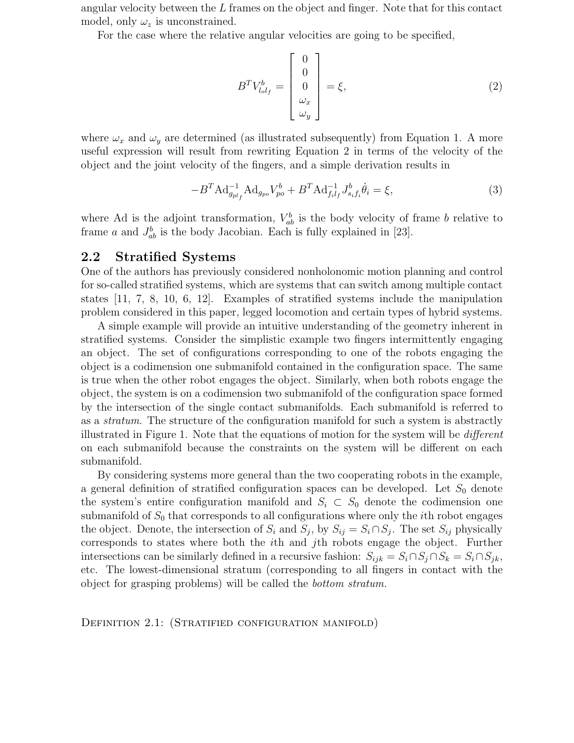angular velocity between the L frames on the object and finger. Note that for this contact model, only  $\omega_z$  is unconstrained.

where the fourth and fifth columns will constrain the  $\mathbf{w}$ 

For the case where the relative angular velocities are going to be specified,

$$
B^{T}V_{l_{o}l_{f}}^{b} = \begin{bmatrix} 0\\0\\0\\ \omega_{x}\\ \omega_{y} \end{bmatrix} = \xi, \qquad (2)
$$

where  $\omega_x$  and  $\omega_y$  are determined (as illustrated subsequently) from Equation 1. A more useful expression will result from rewriting Equation 2 in terms of the velocity of the object and the joint velocity of the fingers, and a simple derivation results in

$$
-B^{T} \text{Ad}_{g_{pl_f}}^{-1} \text{Ad}_{g_{po}} V_{po}^b + B^{T} \text{Ad}_{f_i l_f}^{-1} J_{s_i f_i}^b \dot{\theta}_i = \xi,
$$
\n(3)

where Ad is the adjoint transformation,  $V_{ab}^b$  is the body velocity of frame b relative to frame a and  $J_{ab}^b$  is the body Jacobian. Each is fully explained in [23].

#### 2.2 Stratified Systems

One of the authors has previously considered nonholonomic motion planning and control for so-called stratified systems, which are systems that can switch among multiple contact states [11, 7, 8, 10, 6, 12]. Examples of stratified systems include the manipulation problem considered in this paper, legged locomotion and certain types of hybrid systems.

A simple example will provide an intuitive understanding of the geometry inherent in stratified systems. Consider the simplistic example two fingers intermittently engaging an object. The set of configurations corresponding to one of the robots engaging the object is a codimension one submanifold contained in the configuration space. The same is true when the other robot engages the object. Similarly, when both robots engage the object, the system is on a codimension two submanifold of the configuration space formed by the intersection of the single contact submanifolds. Each submanifold is referred to as a stratum. The structure of the configuration manifold for such a system is abstractly illustrated in Figure 1. Note that the equations of motion for the system will be different on each submanifold because the constraints on the system will be different on each submanifold.

By considering systems more general than the two cooperating robots in the example, a general definition of stratified configuration spaces can be developed. Let  $S_0$  denote the system's entire configuration manifold and  $S_i \subset S_0$  denote the codimension one submanifold of  $S_0$  that corresponds to all configurations where only the *i*th robot engages the object. Denote, the intersection of  $S_i$  and  $S_j$ , by  $S_{ij} = S_i \cap S_j$ . The set  $S_{ij}$  physically corresponds to states where both the ith and jth robots engage the object. Further intersections can be similarly defined in a recursive fashion:  $S_{ijk} = S_i \cap S_j \cap S_k = S_i \cap S_{jk}$ , etc. The lowest-dimensional stratum (corresponding to all fingers in contact with the object for grasping problems) will be called the bottom stratum.

DEFINITION 2.1: (STRATIFIED CONFIGURATION MANIFOLD)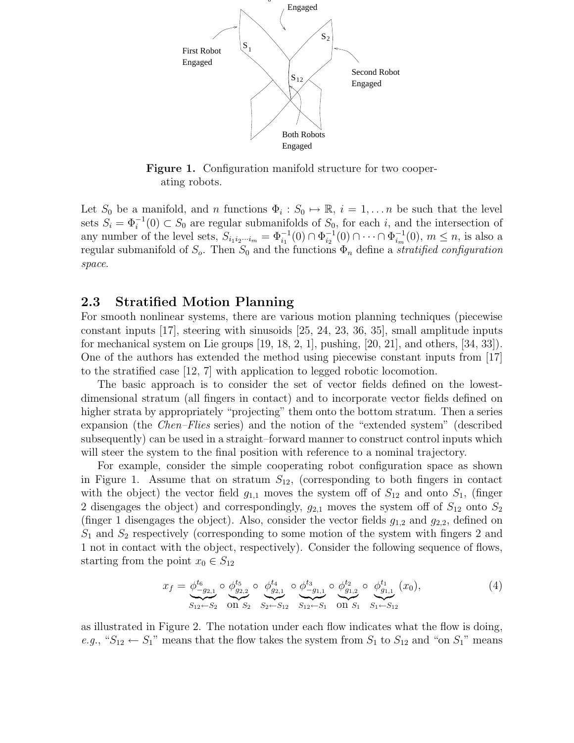

Figure 1. Configuration manifold structure for two cooperating robots.

Let  $S_0$  be a manifold, and n functions  $\Phi_i : S_0 \mapsto \mathbb{R}, i = 1, \ldots n$  be such that the level sets  $S_i = \Phi_i^{-1}(0) \subset S_0$  are regular submanifolds of  $S_0$ , for each i, and the intersection of any number of the level sets,  $S_{i_1 i_2 \cdots i_m} = \Phi_{i_1}^{-1}(0) \cap \Phi_{i_2}^{-1}(0) \cap \cdots \cap \Phi_{i_m}^{-1}(0)$ ,  $m \leq n$ , is also a regular submanifold of  $S_o$ . Then  $S_0$  and the functions  $\Phi_n$  define a *stratified configuration* space.

### 2.3 Stratified Motion Planning

For smooth nonlinear systems, there are various motion planning techniques (piecewise constant inputs [17], steering with sinusoids [25, 24, 23, 36, 35], small amplitude inputs for mechanical system on Lie groups  $(19, 18, 2, 1]$ , pushing,  $(20, 21]$ , and others,  $(34, 33]$ ). One of the authors has extended the method using piecewise constant inputs from [17] to the stratified case [12, 7] with application to legged robotic locomotion.

The basic approach is to consider the set of vector fields defined on the lowestdimensional stratum (all fingers in contact) and to incorporate vector fields defined on higher strata by appropriately "projecting" them onto the bottom stratum. Then a series expansion (the Chen–Flies series) and the notion of the "extended system" (described subsequently) can be used in a straight–forward manner to construct control inputs which will steer the system to the final position with reference to a nominal trajectory.

For example, consider the simple cooperating robot configuration space as shown in Figure 1. Assume that on stratum  $S_{12}$ , (corresponding to both fingers in contact with the object) the vector field  $g_{1,1}$  moves the system off of  $S_{12}$  and onto  $S_1$ , (finger 2 disengages the object) and correspondingly,  $g_{2,1}$  moves the system off of  $S_{12}$  onto  $S_2$ (finger 1 disengages the object). Also, consider the vector fields  $g_{1,2}$  and  $g_{2,2}$ , defined on  $S_1$  and  $S_2$  respectively (corresponding to some motion of the system with fingers 2 and 1 not in contact with the object, respectively). Consider the following sequence of flows, starting from the point  $x_0 \in S_{12}$ 

$$
x_f = \underbrace{\phi_{-g_{2,1}}^{t_6}}_{S_{12} \leftarrow S_2} \circ \underbrace{\phi_{g_{2,2}}^{t_5}}_{\text{On } S_2} \circ \underbrace{\phi_{g_{2,1}}^{t_4}}_{S_2 \leftarrow S_{12}} \circ \underbrace{\phi_{-g_{1,1}}^{t_3}}_{S_{12} \leftarrow S_1} \circ \underbrace{\phi_{g_{1,2}}^{t_2}}_{\text{On } S_1} \circ \underbrace{\phi_{g_{1,1}}^{t_1}}_{S_1 \leftarrow S_{12}} (x_0),
$$
\n
$$
\tag{4}
$$

as illustrated in Figure 2. The notation under each flow indicates what the flow is doing, e.g., " $S_{12} \leftarrow S_1$ " means that the flow takes the system from  $S_1$  to  $S_{12}$  and "on  $S_1$ " means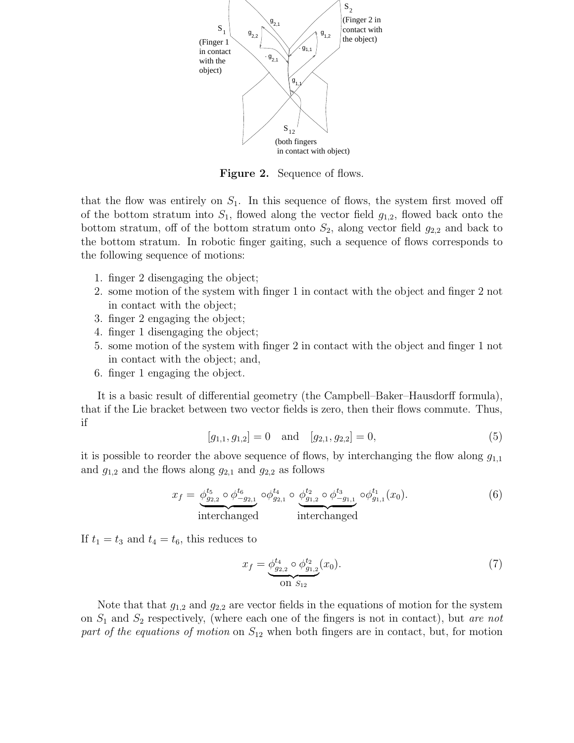

Figure 2. Sequence of flows.

that the flow was entirely on  $S_1$ . In this sequence of flows, the system first moved off of the bottom stratum into  $S_1$ , flowed along the vector field  $g_{1,2}$ , flowed back onto the bottom stratum, off of the bottom stratum onto  $S_2$ , along vector field  $g_{2,2}$  and back to the bottom stratum. In robotic finger gaiting, such a sequence of flows corresponds to the following sequence of motions:

- 1. finger 2 disengaging the object;
- 2. some motion of the system with finger 1 in contact with the object and finger 2 not in contact with the object;
- 3. finger 2 engaging the object;
- 4. finger 1 disengaging the object;
- 5. some motion of the system with finger 2 in contact with the object and finger 1 not in contact with the object; and,
- 6. finger 1 engaging the object.

It is a basic result of differential geometry (the Campbell–Baker–Hausdorff formula), that if the Lie bracket between two vector fields is zero, then their flows commute. Thus, if

$$
[g_{1,1}, g_{1,2}] = 0 \text{ and } [g_{2,1}, g_{2,2}] = 0,
$$
\n
$$
(5)
$$

it is possible to reorder the above sequence of flows, by interchanging the flow along  $g_{1,1}$ and  $g_{1,2}$  and the flows along  $g_{2,1}$  and  $g_{2,2}$  as follows

$$
x_f = \underbrace{\phi_{g_{2,2}}^{t_5} \circ \phi_{-g_{2,1}}^{t_6}}_{\text{interchanged}} \circ \underbrace{\phi_{g_{2,1}}^{t_4} \circ \phi_{g_{1,2}}^{t_2} \circ \phi_{-g_{1,1}}^{t_3}}_{\text{interchanged}} \circ \phi_{g_{1,1}}^{t_1}(x_0). \tag{6}
$$

If  $t_1 = t_3$  and  $t_4 = t_6$ , this reduces to

$$
x_f = \underbrace{\phi_{g_{2,2}}^{t_4} \circ \phi_{g_{1,2}}^{t_2}}_{\text{On } S_{12}}(x_0). \tag{7}
$$

Note that that  $g_{1,2}$  and  $g_{2,2}$  are vector fields in the equations of motion for the system on  $S_1$  and  $S_2$  respectively, (where each one of the fingers is not in contact), but are not part of the equations of motion on  $S_{12}$  when both fingers are in contact, but, for motion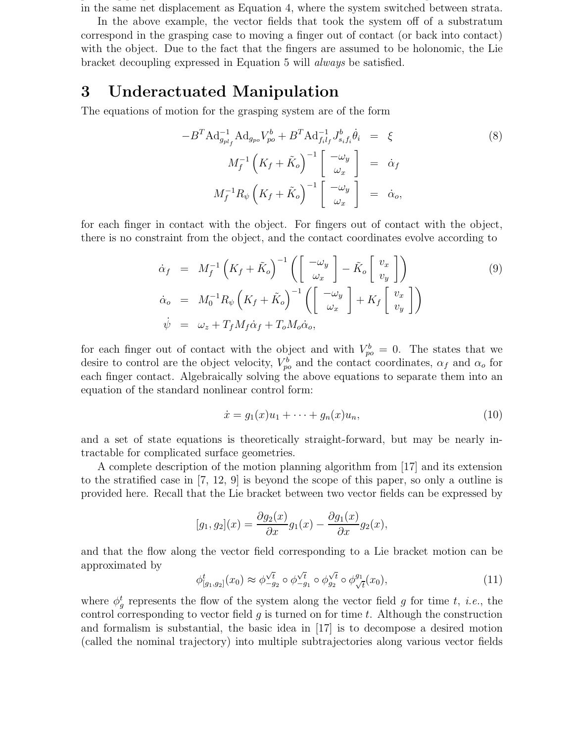planning purposes can be considered as such because of the fact that Equation 6 results in the same net displacement as Equation 4, where the system switched between strata.

In the above example, the vector fields that took the system off of a substratum correspond in the grasping case to moving a finger out of contact (or back into contact) with the object. Due to the fact that the fingers are assumed to be holonomic, the Lie bracket decoupling expressed in Equation 5 will always be satisfied.

### 3 Underactuated Manipulation

The equations of motion for the grasping system are of the form

$$
-B^{T} \operatorname{Ad}_{g_{pl_f}}^{-1} \operatorname{Ad}_{g_{po}} V_{po}^{b} + B^{T} \operatorname{Ad}_{f_{il_f}}^{-1} J_{s_i f_i}^{b} \dot{\theta}_i = \xi
$$
\n
$$
M_f^{-1} \left( K_f + \tilde{K}_o \right)^{-1} \left[ \begin{array}{c} -\omega_y \\ \omega_x \end{array} \right] = \dot{\alpha}_f
$$
\n
$$
M_f^{-1} R_{\psi} \left( K_f + \tilde{K}_o \right)^{-1} \left[ \begin{array}{c} -\omega_y \\ \omega_x \end{array} \right] = \dot{\alpha}_o,
$$
\n(8)

for each finger in contact with the object. For fingers out of contact with the object, there is no constraint from the object, and the contact coordinates evolve according to

$$
\dot{\alpha}_f = M_f^{-1} \left( K_f + \tilde{K}_o \right)^{-1} \left( \begin{bmatrix} -\omega_y \\ \omega_x \end{bmatrix} - \tilde{K}_o \begin{bmatrix} v_x \\ v_y \end{bmatrix} \right)
$$
\n
$$
\dot{\alpha}_o = M_0^{-1} R_{\psi} \left( K_f + \tilde{K}_o \right)^{-1} \left( \begin{bmatrix} -\omega_y \\ \omega_x \end{bmatrix} + K_f \begin{bmatrix} v_x \\ v_y \end{bmatrix} \right)
$$
\n
$$
\dot{\psi} = \omega_z + T_f M_f \dot{\alpha}_f + T_o M_o \dot{\alpha}_o,
$$
\n(9)

for each finger out of contact with the object and with  $V_{po}^b = 0$ . The states that we desire to control are the object velocity,  $V_{po}^b$  and the contact coordinates,  $\alpha_f$  and  $\alpha_o$  for each finger contact. Algebraically solving the above equations to separate them into an equation of the standard nonlinear control form:

$$
\dot{x} = g_1(x)u_1 + \dots + g_n(x)u_n, \tag{10}
$$

and a set of state equations is theoretically straight-forward, but may be nearly intractable for complicated surface geometries.

A complete description of the motion planning algorithm from [17] and its extension to the stratified case in [7, 12, 9] is beyond the scope of this paper, so only a outline is provided here. Recall that the Lie bracket between two vector fields can be expressed by

$$
[g_1, g_2](x) = \frac{\partial g_2(x)}{\partial x} g_1(x) - \frac{\partial g_1(x)}{\partial x} g_2(x),
$$

and that the flow along the vector field corresponding to a Lie bracket motion can be approximated by

$$
\phi_{[g_1,g_2]}^t(x_0) \approx \phi_{-g_2}^{\sqrt{t}} \circ \phi_{-g_1}^{\sqrt{t}} \circ \phi_{g_2}^{\sqrt{t}} \circ \phi_{\sqrt{t}}^{g_1}(x_0), \tag{11}
$$

where  $\phi_g^t$  represents the flow of the system along the vector field g for time t, i.e., the control corresponding to vector field  $q$  is turned on for time  $t$ . Although the construction and formalism is substantial, the basic idea in [17] is to decompose a desired motion (called the nominal trajectory) into multiple subtrajectories along various vector fields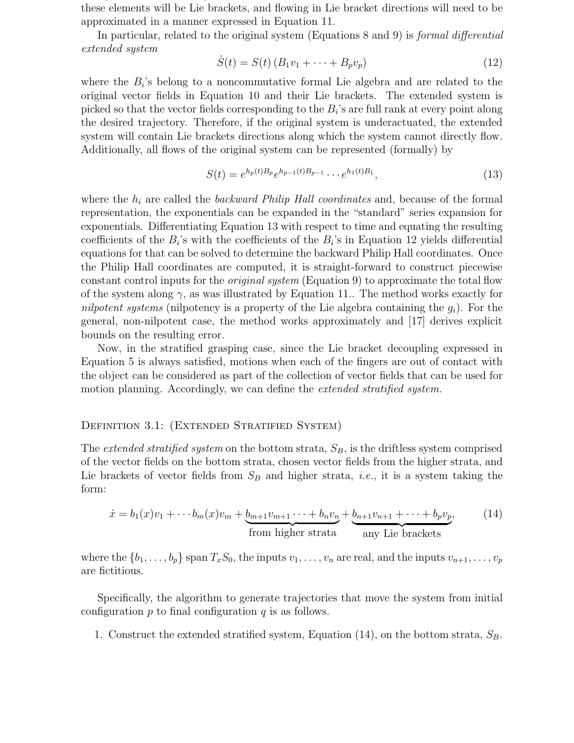these elements will be Lie brackets, and flowing in Lie bracket directions will need to be approximated in a manner expressed in Equation 11.

that provide a basis for space of vector fields. If the system is underacted, some of  $\mathbf v$ 

In particular, related to the original system (Equations 8 and 9) is *formal differential* extended system

$$
\dot{S}(t) = S(t) (B_1 v_1 + \dots + B_p v_p) \tag{12}
$$

where the  $B_i$ 's belong to a noncommutative formal Lie algebra and are related to the original vector fields in Equation 10 and their Lie brackets. The extended system is picked so that the vector fields corresponding to the  $B_i$ 's are full rank at every point along the desired trajectory. Therefore, if the original system is underactuated, the extended system will contain Lie brackets directions along which the system cannot directly flow. Additionally, all flows of the original system can be represented (formally) by

$$
S(t) = e^{h_p(t)B_p}e^{h_{p-1}(t)B_{p-1}}\cdots e^{h_1(t)B_1},
$$
\n(13)

where the  $h_i$  are called the *backward Philip Hall coordinates* and, because of the formal representation, the exponentials can be expanded in the "standard" series expansion for exponentials. Differentiating Equation 13 with respect to time and equating the resulting coefficients of the  $B_i$ 's with the coefficients of the  $B_i$ 's in Equation 12 yields differential equations for that can be solved to determine the backward Philip Hall coordinates. Once the Philip Hall coordinates are computed, it is straight-forward to construct piecewise constant control inputs for the original system (Equation 9) to approximate the total flow of the system along  $\gamma$ , as was illustrated by Equation 11.. The method works exactly for nilpotent systems (nilpotency is a property of the Lie algebra containing the  $g_i$ ). For the general, non-nilpotent case, the method works approximately and [17] derives explicit bounds on the resulting error.

Now, in the stratified grasping case, since the Lie bracket decoupling expressed in Equation 5 is always satisfied, motions when each of the fingers are out of contact with the object can be considered as part of the collection of vector fields that can be used for motion planning. Accordingly, we can define the *extended stratified system*.

#### DEFINITION 3.1: (EXTENDED STRATIFIED SYSTEM)

The *extended stratified system* on the bottom strata,  $S_B$ , is the driftless system comprised of the vector fields on the bottom strata, chosen vector fields from the higher strata, and Lie brackets of vector fields from  $S_B$  and higher strata, *i.e.*, it is a system taking the form:

$$
\dot{x} = b_1(x)v_1 + \dots + b_m(x)v_m + \underbrace{b_{m+1}v_{m+1}\dots + b_nv_n}_{\text{from higher strata}} + \underbrace{b_{n+1}v_{n+1} + \dots + b_pv_p}_{\text{any Lie brackets}},
$$
 (14)

where the  $\{b_1, \ldots, b_p\}$  span  $T_xS_0$ , the inputs  $v_1, \ldots, v_n$  are real, and the inputs  $v_{n+1}, \ldots, v_p$ are fictitious.

Specifically, the algorithm to generate trajectories that move the system from initial configuration  $p$  to final configuration  $q$  is as follows.

1. Construct the extended stratified system, Equation (14), on the bottom strata,  $S_B$ .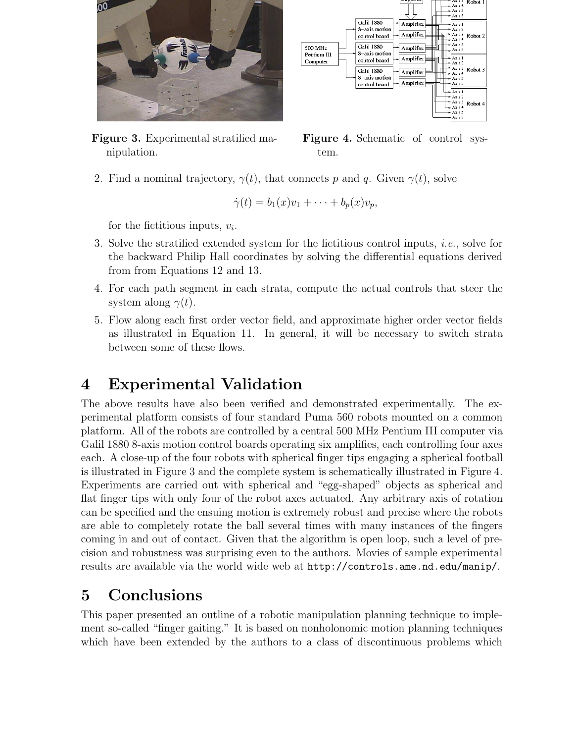

Figure 3. Experimental stratified manipulation.



Figure 4. Schematic of control system.

2. Find a nominal trajectory,  $\gamma(t)$ , that connects p and q. Given  $\gamma(t)$ , solve

$$
\dot{\gamma}(t) = b_1(x)v_1 + \cdots + b_p(x)v_p,
$$

for the fictitious inputs,  $v_i$ .

- 3. Solve the stratified extended system for the fictitious control inputs, i.e., solve for the backward Philip Hall coordinates by solving the differential equations derived from from Equations 12 and 13.
- 4. For each path segment in each strata, compute the actual controls that steer the system along  $\gamma(t)$ .
- 5. Flow along each first order vector field, and approximate higher order vector fields as illustrated in Equation 11. In general, it will be necessary to switch strata between some of these flows.

# 4 Experimental Validation

The above results have also been verified and demonstrated experimentally. The experimental platform consists of four standard Puma 560 robots mounted on a common platform. All of the robots are controlled by a central 500 MHz Pentium III computer via Galil 1880 8-axis motion control boards operating six amplifies, each controlling four axes each. A close-up of the four robots with spherical finger tips engaging a spherical football is illustrated in Figure 3 and the complete system is schematically illustrated in Figure 4. Experiments are carried out with spherical and "egg-shaped" objects as spherical and flat finger tips with only four of the robot axes actuated. Any arbitrary axis of rotation can be specified and the ensuing motion is extremely robust and precise where the robots are able to completely rotate the ball several times with many instances of the fingers coming in and out of contact. Given that the algorithm is open loop, such a level of precision and robustness was surprising even to the authors. Movies of sample experimental results are available via the world wide web at http://controls.ame.nd.edu/manip/.

# 5 Conclusions

This paper presented an outline of a robotic manipulation planning technique to implement so-called "finger gaiting." It is based on nonholonomic motion planning techniques which have been extended by the authors to a class of discontinuous problems which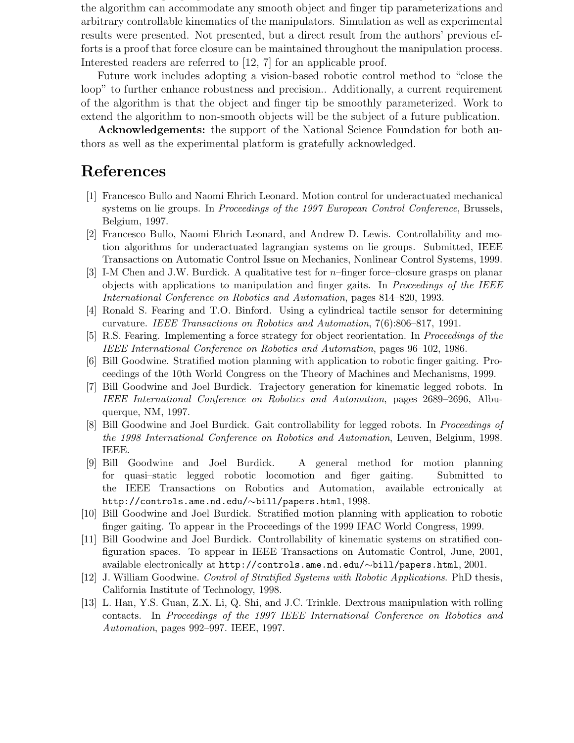includes robotic grasping. It is formulated in a level of mathematical generality so that the algorithm can accommodate any smooth object and finger tip parameterizations and arbitrary controllable kinematics of the manipulators. Simulation as well as experimental results were presented. Not presented, but a direct result from the authors' previous efforts is a proof that force closure can be maintained throughout the manipulation process. Interested readers are referred to [12, 7] for an applicable proof.

Future work includes adopting a vision-based robotic control method to "close the loop" to further enhance robustness and precision.. Additionally, a current requirement of the algorithm is that the object and finger tip be smoothly parameterized. Work to extend the algorithm to non-smooth objects will be the subject of a future publication.

Acknowledgements: the support of the National Science Foundation for both authors as well as the experimental platform is gratefully acknowledged.

### References

- [1] Francesco Bullo and Naomi Ehrich Leonard. Motion control for underactuated mechanical systems on lie groups. In Proceedings of the 1997 European Control Conference, Brussels, Belgium, 1997.
- [2] Francesco Bullo, Naomi Ehrich Leonard, and Andrew D. Lewis. Controllability and motion algorithms for underactuated lagrangian systems on lie groups. Submitted, IEEE Transactions on Automatic Control Issue on Mechanics, Nonlinear Control Systems, 1999.
- [3] I-M Chen and J.W. Burdick. A qualitative test for n–finger force–closure grasps on planar objects with applications to manipulation and finger gaits. In Proceedings of the IEEE International Conference on Robotics and Automation, pages 814–820, 1993.
- [4] Ronald S. Fearing and T.O. Binford. Using a cylindrical tactile sensor for determining curvature. IEEE Transactions on Robotics and Automation, 7(6):806–817, 1991.
- [5] R.S. Fearing. Implementing a force strategy for object reorientation. In Proceedings of the IEEE International Conference on Robotics and Automation, pages 96–102, 1986.
- [6] Bill Goodwine. Stratified motion planning with application to robotic finger gaiting. Proceedings of the 10th World Congress on the Theory of Machines and Mechanisms, 1999.
- [7] Bill Goodwine and Joel Burdick. Trajectory generation for kinematic legged robots. In IEEE International Conference on Robotics and Automation, pages 2689–2696, Albuquerque, NM, 1997.
- [8] Bill Goodwine and Joel Burdick. Gait controllability for legged robots. In Proceedings of the 1998 International Conference on Robotics and Automation, Leuven, Belgium, 1998. IEEE.
- [9] Bill Goodwine and Joel Burdick. A general method for motion planning for quasi–static legged robotic locomotion and figer gaiting. Submitted to the IEEE Transactions on Robotics and Automation, available ectronically at http://controls.ame.nd.edu/∼bill/papers.html, 1998.
- [10] Bill Goodwine and Joel Burdick. Stratified motion planning with application to robotic finger gaiting. To appear in the Proceedings of the 1999 IFAC World Congress, 1999.
- [11] Bill Goodwine and Joel Burdick. Controllability of kinematic systems on stratified configuration spaces. To appear in IEEE Transactions on Automatic Control, June, 2001, available electronically at http://controls.ame.nd.edu/∼bill/papers.html, 2001.
- [12] J. William Goodwine. Control of Stratified Systems with Robotic Applications. PhD thesis, California Institute of Technology, 1998.
- [13] L. Han, Y.S. Guan, Z.X. Li, Q. Shi, and J.C. Trinkle. Dextrous manipulation with rolling contacts. In Proceedings of the 1997 IEEE International Conference on Robotics and Automation, pages 992–997. IEEE, 1997.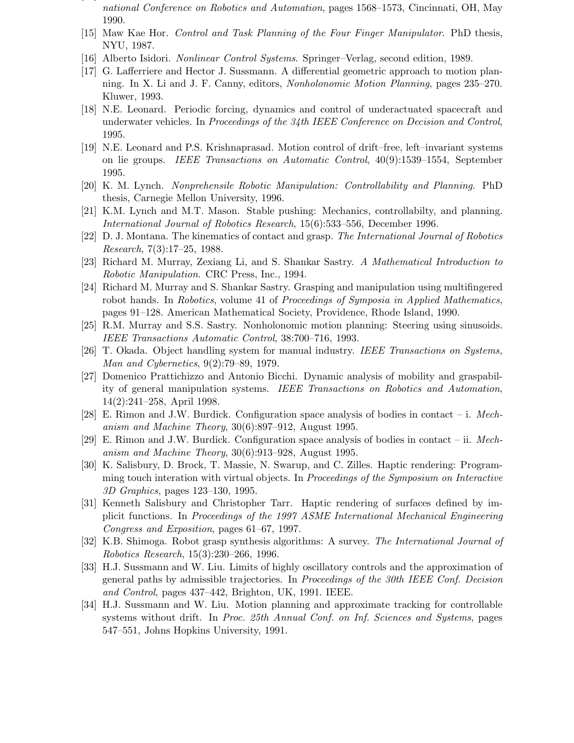- [14] J. Hong and G. Lafferriere. Fine manipulation with multifinger hands. In IEEE International Conference on Robotics and Automation, pages 1568–1573, Cincinnati, OH, May 1990.
- [15] Maw Kae Hor. Control and Task Planning of the Four Finger Manipulator. PhD thesis, NYU, 1987.
- [16] Alberto Isidori. Nonlinear Control Systems. Springer–Verlag, second edition, 1989.
- [17] G. Lafferriere and Hector J. Sussmann. A differential geometric approach to motion planning. In X. Li and J. F. Canny, editors, Nonholonomic Motion Planning, pages 235–270. Kluwer, 1993.
- [18] N.E. Leonard. Periodic forcing, dynamics and control of underactuated spacecraft and underwater vehicles. In Proceedings of the 34th IEEE Conference on Decision and Control, 1995.
- [19] N.E. Leonard and P.S. Krishnaprasad. Motion control of drift–free, left–invariant systems on lie groups. IEEE Transactions on Automatic Control, 40(9):1539–1554, September 1995.
- [20] K. M. Lynch. Nonprehensile Robotic Manipulation: Controllability and Planning. PhD thesis, Carnegie Mellon University, 1996.
- [21] K.M. Lynch and M.T. Mason. Stable pushing: Mechanics, controllabilty, and planning. International Journal of Robotics Research, 15(6):533–556, December 1996.
- [22] D. J. Montana. The kinematics of contact and grasp. The International Journal of Robotics Research, 7(3):17–25, 1988.
- [23] Richard M. Murray, Zexiang Li, and S. Shankar Sastry. A Mathematical Introduction to Robotic Manipulation. CRC Press, Inc., 1994.
- [24] Richard M. Murray and S. Shankar Sastry. Grasping and manipulation using multifingered robot hands. In Robotics, volume 41 of Proceedings of Symposia in Applied Mathematics, pages 91–128. American Mathematical Society, Providence, Rhode Island, 1990.
- [25] R.M. Murray and S.S. Sastry. Nonholonomic motion planning: Steering using sinusoids. IEEE Transactions Automatic Control, 38:700–716, 1993.
- [26] T. Okada. Object handling system for manual industry. IEEE Transactions on Systems, Man and Cybernetics, 9(2):79–89, 1979.
- [27] Domenico Prattichizzo and Antonio Bicchi. Dynamic analysis of mobility and graspability of general manipulation systems. IEEE Transactions on Robotics and Automation, 14(2):241–258, April 1998.
- [28] E. Rimon and J.W. Burdick. Configuration space analysis of bodies in contact i. Mechanism and Machine Theory, 30(6):897–912, August 1995.
- [29] E. Rimon and J.W. Burdick. Configuration space analysis of bodies in contact ii. Mechanism and Machine Theory, 30(6):913–928, August 1995.
- [30] K. Salisbury, D. Brock, T. Massie, N. Swarup, and C. Zilles. Haptic rendering: Programming touch interation with virtual objects. In Proceedings of the Symposium on Interactive 3D Graphics, pages 123–130, 1995.
- [31] Kenneth Salisbury and Christopher Tarr. Haptic rendering of surfaces defined by implicit functions. In Proceedings of the 1997 ASME International Mechanical Engineering Congress and Exposition, pages 61–67, 1997.
- [32] K.B. Shimoga. Robot grasp synthesis algorithms: A survey. The International Journal of Robotics Research, 15(3):230–266, 1996.
- [33] H.J. Sussmann and W. Liu. Limits of highly oscillatory controls and the approximation of general paths by admissible trajectories. In Proceedings of the 30th IEEE Conf. Decision and Control, pages 437–442, Brighton, UK, 1991. IEEE.
- [34] H.J. Sussmann and W. Liu. Motion planning and approximate tracking for controllable systems without drift. In Proc. 25th Annual Conf. on Inf. Sciences and Systems, pages 547–551, Johns Hopkins University, 1991.